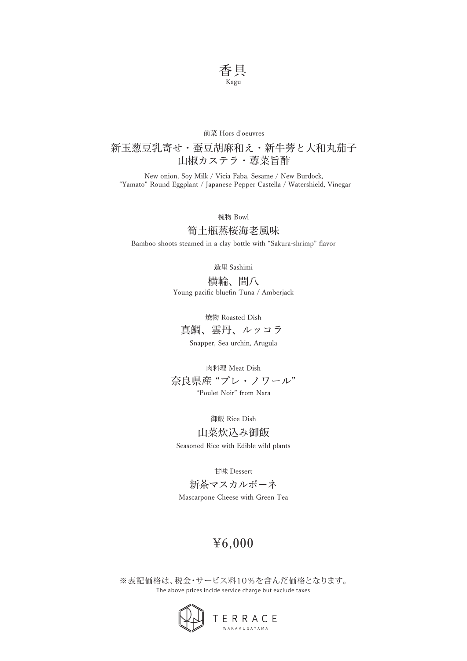

### 前菜 Hors d'oeuvres

## 新玉葱豆乳寄せ・蚕豆胡麻和え・新牛蒡と大和丸茄子 山椒カステラ・蓴菜旨酢

New onion, Soy Milk / Vicia Faba, Sesame / New Burdock, "Yamato" Round Eggplant / Japanese Pepper Castella / Watershield, Vinegar

椀物 Bowl

### 筍土瓶蒸桜海老風味

Bamboo shoots steamed in a clay bottle with "Sakura-shrimp" flavor

造里 Sashimi

横輪、間八 Young pacific bluefin Tuna / Amberjack

焼物 Roasted Dish

真鯛、雲丹、ルッコラ

Snapper, Sea urchin, Arugula

肉料理 Meat Dish

奈良県産 "プレ・ノワール" "Poulet Noir" from Nara

御飯 Rice Dish

山菜炊込み御飯 Seasoned Rice with Edible wild plants

甘味 Dessert

新茶マスカルポーネ Mascarpone Cheese with Green Tea

# ¥6,000

The above prices inclde service charge but exclude taxes ※表記価格は、税金・サービス料10%を含んだ価格となります。